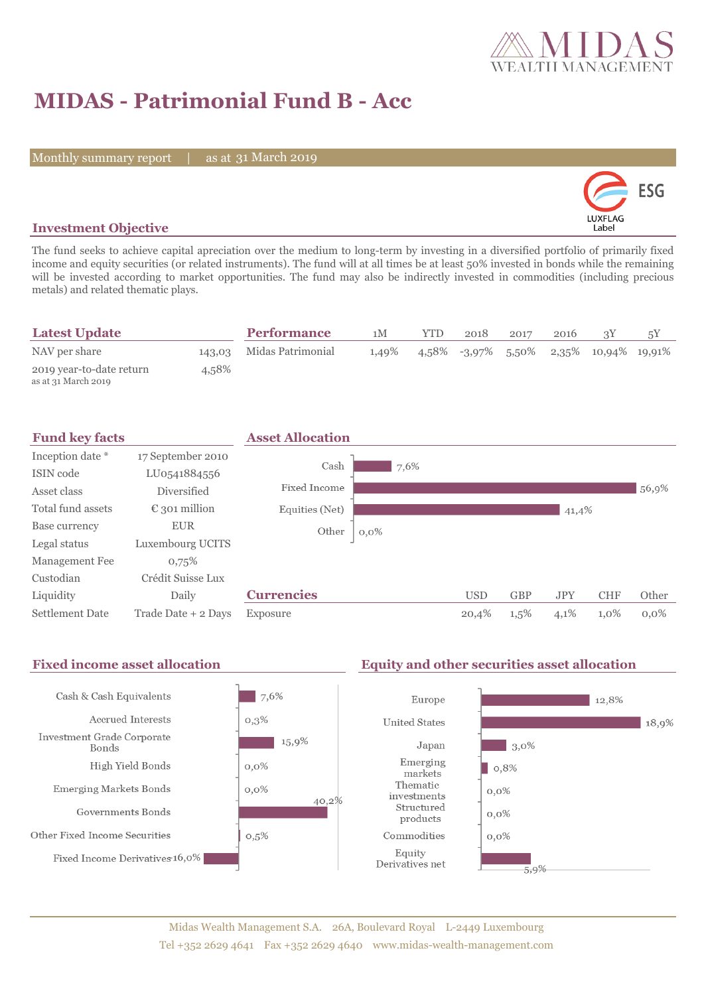

# **MIDAS - Patrimonial Fund B - Acc**

Monthly summary report | as at 31 March 2019



### **Investment Objective**

The fund seeks to achieve capital apreciation over the medium to long-term by investing in a diversified portfolio of primarily fixed income and equity securities (or related instruments). The fund will at all times be at least 50% invested in bonds while the remaining will be invested according to market opportunities. The fund may also be indirectly invested in commodities (including precious metals) and related thematic plays.

| <b>Latest Update</b>                            |       | <b>Performance</b>       | 1M    | <b>YTD</b> | 2018 | 2017 | 2016 |                                           |  |
|-------------------------------------------------|-------|--------------------------|-------|------------|------|------|------|-------------------------------------------|--|
| NAV per share                                   |       | 143.03 Midas Patrimonial | 1,49% |            |      |      |      | $4.58\%$ -3.97% 5.50% 2.35% 10.94% 19.91% |  |
| 2019 year-to-date return<br>as at 31 March 2019 | 4,58% |                          |       |            |      |      |      |                                           |  |



#### Fixed income asset allocation **Equity and other securities asset allocation** Cash & Cash Equivalents 7,6% Europe 12,8% Accrued Interests  $0,3%$ **United States** 18,9% Investment Grade Corporate 15,9%  $\Box$  3,0% Japan **Bonds** Emerging High Yield Bonds  $0,0\%$  $| 0,8%$ markets Thematic Emerging Markets Bonds  $0,0\%$  $0,0\%$ investments 40,2% Structured Governments Bonds  $0,0\%$ products Other Fixed Income Securities  $0,5%$ Commodities  $0,0\%$ Equity Fixed Income Derivatives 16,0% Derivatives net 5,9%

### Midas Wealth Management S.A. 26A, Boulevard Royal L-2449 Luxembourg Tel +352 2629 4641 Fax +352 2629 4640 www.midas-wealth-management.com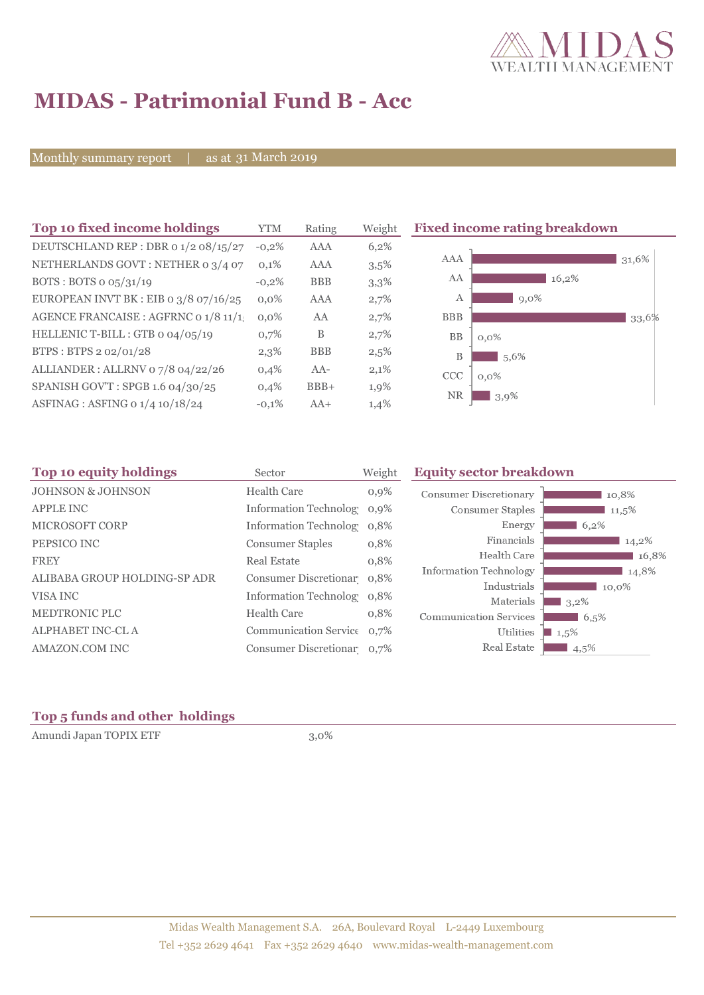

# **MIDAS - Patrimonial Fund B - Acc**

Monthly summary report | as at 31 March 2019

| Top 10 fixed income holdings            | YTM     | Rating     | Weight  | <b>Fixed income rating breakdown</b> |  |
|-----------------------------------------|---------|------------|---------|--------------------------------------|--|
| DEUTSCHLAND REP : DBR 0 1/2 08/15/27    | $-0,2%$ | <b>AAA</b> | 6,2%    |                                      |  |
| NETHERLANDS GOVT: NETHER 0 3/4 07       | 0,1%    | AAA        | $3,5\%$ | AAA<br>31,6%                         |  |
| BOTS: BOTS $o$ $o5/31/19$               | $-0,2%$ | <b>BBB</b> | 3,3%    | AA<br>16,2%                          |  |
| EUROPEAN INVT BK : EIB o $3/8$ 07/16/25 | $0.0\%$ | <b>AAA</b> | 2,7%    | 9,0%<br>А                            |  |
| AGENCE FRANCAISE : AGFRNC 0 1/8 11/1.   | $0.0\%$ | AA         | 2,7%    | <b>BBB</b><br>33,6%                  |  |
| HELLENIC T-BILL : GTB 0 04/05/19        | 0,7%    | B          | 2,7%    | BB<br>$0,0\%$                        |  |
| BTPS: BTPS 2 02/01/28                   | 2,3%    | <b>BBB</b> | 2,5%    | B<br>5,6%                            |  |
| ALLIANDER: ALLRNV 07/8 04/22/26         | 0,4%    | $AA-$      | 2,1%    | <b>CCC</b><br>$0,0\%$                |  |
| SPANISH GOV'T: SPGB 1.6 04/30/25        | 0,4%    | $BBB+$     | 1,9%    | <b>NR</b>                            |  |
| ASFINAG : ASFING 0 1/4 10/18/24         | $-0,1%$ | $AA+$      | 1,4%    | $3,9\%$                              |  |

| Top 10 equity holdings       | Sector                     | Weight  | <b>Equity sector breakdown</b> |          |  |  |
|------------------------------|----------------------------|---------|--------------------------------|----------|--|--|
| <b>JOHNSON &amp; JOHNSON</b> | Health Care                | $0,9\%$ | Consumer Discretionary         | 10,8%    |  |  |
| <b>APPLE INC</b>             | Information Technolog 0,9% |         | Consumer Staples               | $11,5\%$ |  |  |
| MICROSOFT CORP               | Information Technolog 0,8% |         | Energy                         | 6,2%     |  |  |
| PEPSICO INC                  | <b>Consumer Staples</b>    | 0,8%    | Financials                     | 14,2%    |  |  |
| <b>FREY</b>                  | <b>Real Estate</b>         | 0,8%    | Health Care                    | 16,8%    |  |  |
| ALIBABA GROUP HOLDING-SP ADR | Consumer Discretionar 0,8% |         | Information Technology         | 14,8%    |  |  |
|                              |                            |         | Industrials                    | 10,0%    |  |  |
| VISA INC                     | Information Technolog 0.8% |         | Materials                      | $3,2\%$  |  |  |
| <b>MEDTRONIC PLC</b>         | <b>Health Care</b>         | 0,8%    | <b>Communication Services</b>  | 6,5%     |  |  |
| <b>ALPHABET INC-CL A</b>     | Communication Service 0,7% |         | <b>Utilities</b>               | $1,5\%$  |  |  |
| AMAZON.COM INC               | Consumer Discretionar 0,7% |         | Real Estate                    | $4,5\%$  |  |  |
|                              |                            |         |                                |          |  |  |

## **Top 5 funds and other holdings**

Amundi Japan TOPIX ETF 3,0%